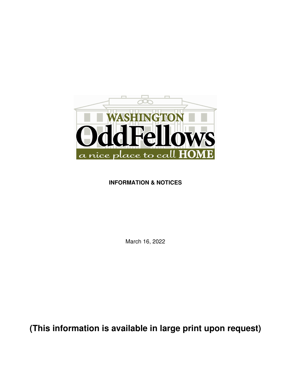

# **INFORMATION & NOTICES**

March 16, 2022

**(This information is available in large print upon request)**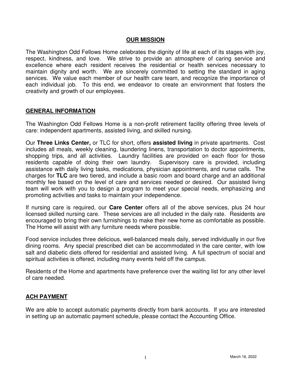#### **OUR MISSION**

The Washington Odd Fellows Home celebrates the dignity of life at each of its stages with joy, respect, kindness, and love. We strive to provide an atmosphere of caring service and excellence where each resident receives the residential or health services necessary to maintain dignity and worth. We are sincerely committed to setting the standard in aging services. We value each member of our health care team, and recognize the importance of each individual job. To this end, we endeavor to create an environment that fosters the creativity and growth of our employees.

#### **GENERAL INFORMATION**

The Washington Odd Fellows Home is a non-profit retirement facility offering three levels of care: independent apartments, assisted living, and skilled nursing.

Our **Three Links Center,** or TLC for short, offers **assisted living** in private apartments. Cost includes all meals, weekly cleaning, laundering linens, transportation to doctor appointments, shopping trips, and all activities. Laundry facilities are provided on each floor for those residents capable of doing their own laundry. Supervisory care is provided, including assistance with daily living tasks, medications, physician appointments, and nurse calls. The charges for **TLC** are two tiered, and include a basic room and board charge and an additional monthly fee based on the level of care and services needed or desired. Our assisted living team will work with you to design a program to meet your special needs, emphasizing and promoting activities and tasks to maintain your independence.

If nursing care is required, our **Care Center** offers all of the above services, plus 24 hour licensed skilled nursing care. These services are all included in the daily rate. Residents are encouraged to bring their own furnishings to make their new home as comfortable as possible. The Home will assist with any furniture needs where possible.

Food service includes three delicious, well-balanced meals daily, served individually in our five dining rooms. Any special prescribed diet can be accommodated in the care center, with low salt and diabetic diets offered for residential and assisted living. A full spectrum of social and spiritual activities is offered, including many events held off the campus.

Residents of the Home and apartments have preference over the waiting list for any other level of care needed.

### **ACH PAYMENT**

We are able to accept automatic payments directly from bank accounts. If you are interested in setting up an automatic payment schedule, please contact the Accounting Office.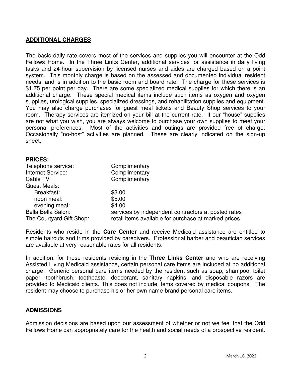### **ADDITIONAL CHARGES**

The basic daily rate covers most of the services and supplies you will encounter at the Odd Fellows Home. In the Three Links Center, additional services for assistance in daily living tasks and 24-hour supervision by licensed nurses and aides are charged based on a point system. This monthly charge is based on the assessed and documented individual resident needs, and is in addition to the basic room and board rate. The charge for these services is \$1.75 per point per day. There are some specialized medical supplies for which there is an additional charge. These special medical items include such items as oxygen and oxygen supplies, urological supplies, specialized dressings, and rehabilitation supplies and equipment. You may also charge purchases for guest meal tickets and Beauty Shop services to your room. Therapy services are itemized on your bill at the current rate. If our "house" supplies are not what you wish, you are always welcome to purchase your own supplies to meet your personal preferences. Most of the activities and outings are provided free of charge. Occasionally "no-host" activities are planned. These are clearly indicated on the sign-up sheet.

#### **PRICES:**

| Telephone service:       | Complimentary                                        |
|--------------------------|------------------------------------------------------|
| Internet Service:        | Complimentary                                        |
| Cable TV                 | Complimentary                                        |
| <b>Guest Meals:</b>      |                                                      |
| Breakfast:               | \$3.00                                               |
| noon meal:               | \$5.00                                               |
| evening meal:            | \$4.00                                               |
| Bella Bella Salon:       | services by independent contractors at posted rates  |
| The Courtyard Gift Shop: | retail items available for purchase at marked prices |

Residents who reside in the **Care Center** and receive Medicaid assistance are entitled to simple haircuts and trims provided by caregivers. Professional barber and beautician services are available at very reasonable rates for all residents.

In addition, for those residents residing in the **Three Links Center** and who are receiving Assisted Living Medicaid assistance, certain personal care items are included at no additional charge. Generic personal care items needed by the resident such as soap, shampoo, toilet paper, toothbrush, toothpaste, deodorant, sanitary napkins, and disposable razors are provided to Medicaid clients. This does not include items covered by medical coupons. The resident may choose to purchase his or her own name-brand personal care items.

### **ADMISSIONS**

Admission decisions are based upon our assessment of whether or not we feel that the Odd Fellows Home can appropriately care for the health and social needs of a prospective resident.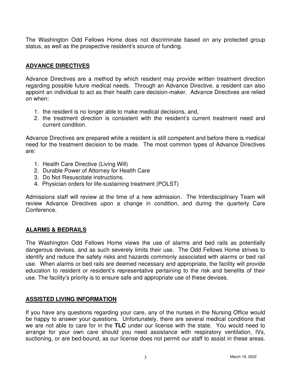The Washington Odd Fellows Home does not discriminate based on any protected group status, as well as the prospective resident's source of funding.

### **ADVANCE DIRECTIVES**

Advance Directives are a method by which resident may provide written treatment direction regarding possible future medical needs. Through an Advance Directive, a resident can also appoint an individual to act as their health care decision-maker. Advance Directives are relied on when:

- 1. the resident is no longer able to make medical decisions, and,
- 2. the treatment direction is consistent with the resident's current treatment need and current condition.

Advance Directives are prepared while a resident is still competent and before there is medical need for the treatment decision to be made. The most common types of Advance Directives are:

- 1. Health Care Directive (Living Will)
- 2. Durable Power of Attorney for Health Care
- 3. Do Not Resuscitate instructions.
- 4. Physician orders for life-sustaining treatment (POLST)

Admissions staff will review at the time of a new admission. The Interdisciplinary Team will review Advance Directives upon a change in condition, and during the quarterly Care Conference.

### **ALARMS & BEDRAILS**

The Washington Odd Fellows Home views the use of alarms and bed rails as potentially dangerous devises, and as such severely limits their use. The Odd Fellows Home strives to identify and reduce the safety risks and hazards commonly associated with alarms or bed rail use. When alarms or bed rails are deemed necessary and appropriate, the facility will provide education to resident or resident's representative pertaining to the risk and benefits of their use. The facility's priority is to ensure safe and appropriate use of these devises.

### **ASSISTED LIVING INFORMATION**

If you have any questions regarding your care, any of the nurses in the Nursing Office would be happy to answer your questions. Unfortunately, there are several medical conditions that we are not able to care for in the **TLC** under our license with the state. You would need to arrange for your own care should you need assistance with respiratory ventilation, IVs, suctioning, or are bed-bound, as our license does not permit our staff to assist in these areas.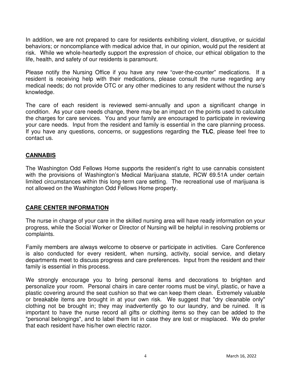In addition, we are not prepared to care for residents exhibiting violent, disruptive, or suicidal behaviors; or noncompliance with medical advice that, in our opinion, would put the resident at risk. While we whole-heartedly support the expression of choice, our ethical obligation to the life, health, and safety of our residents is paramount.

Please notify the Nursing Office if you have any new "over-the-counter" medications. If a resident is receiving help with their medications, please consult the nurse regarding any medical needs; do not provide OTC or any other medicines to any resident without the nurse's knowledge.

The care of each resident is reviewed semi-annually and upon a significant change in condition. As your care needs change, there may be an impact on the points used to calculate the charges for care services. You and your family are encouraged to participate in reviewing your care needs. Input from the resident and family is essential in the care planning process. If you have any questions, concerns, or suggestions regarding the **TLC**, please feel free to contact us.

### **CANNABIS**

The Washington Odd Fellows Home supports the resident's right to use cannabis consistent with the provisions of Washington's Medical Marijuana statute, RCW 69.51A under certain limited circumstances within this long-term care setting. The recreational use of marijuana is not allowed on the Washington Odd Fellows Home property.

### **CARE CENTER INFORMATION**

The nurse in charge of your care in the skilled nursing area will have ready information on your progress, while the Social Worker or Director of Nursing will be helpful in resolving problems or complaints.

Family members are always welcome to observe or participate in activities. Care Conference is also conducted for every resident, when nursing, activity, social service, and dietary departments meet to discuss progress and care preferences. Input from the resident and their family is essential in this process.

We strongly encourage you to bring personal items and decorations to brighten and personalize your room. Personal chairs in care center rooms must be vinyl, plastic, or have a plastic covering around the seat cushion so that we can keep them clean. Extremely valuable or breakable items are brought in at your own risk. We suggest that "dry cleanable only" clothing not be brought in; they may inadvertently go to our laundry, and be ruined. It is important to have the nurse record all gifts or clothing items so they can be added to the "personal belongings", and to label them list in case they are lost or misplaced. We do prefer that each resident have his/her own electric razor.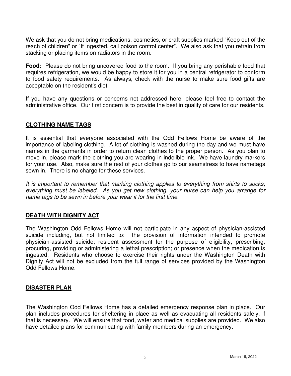We ask that you do not bring medications, cosmetics, or craft supplies marked "Keep out of the reach of children" or "If ingested, call poison control center". We also ask that you refrain from stacking or placing items on radiators in the room.

**Food:** Please do not bring uncovered food to the room. If you bring any perishable food that requires refrigeration, we would be happy to store it for you in a central refrigerator to conform to food safety requirements. As always, check with the nurse to make sure food gifts are acceptable on the resident's diet.

If you have any questions or concerns not addressed here, please feel free to contact the administrative office. Our first concern is to provide the best in quality of care for our residents.

### **CLOTHING NAME TAGS**

It is essential that everyone associated with the Odd Fellows Home be aware of the importance of labeling clothing. A lot of clothing is washed during the day and we must have names in the garments in order to return clean clothes to the proper person. As you plan to move in, please mark the clothing you are wearing in indelible ink. We have laundry markers for your use. Also, make sure the rest of your clothes go to our seamstress to have nametags sewn in. There is no charge for these services.

It is important to remember that marking clothing applies to everything from shirts to socks; everything must be labeled. As you get new clothing, your nurse can help you arrange for name tags to be sewn in before your wear it for the first time.

### **DEATH WITH DIGNITY ACT**

The Washington Odd Fellows Home will not participate in any aspect of physician-assisted suicide including, but not limited to: the provision of information intended to promote physician-assisted suicide; resident assessment for the purpose of eligibility, prescribing, procuring, providing or administering a lethal prescription; or presence when the medication is ingested. Residents who choose to exercise their rights under the Washington Death with Dignity Act will not be excluded from the full range of services provided by the Washington Odd Fellows Home.

### **DISASTER PLAN**

The Washington Odd Fellows Home has a detailed emergency response plan in place. Our plan includes procedures for sheltering in place as well as evacuating all residents safely, if that is necessary. We will ensure that food, water and medical supplies are provided. We also have detailed plans for communicating with family members during an emergency.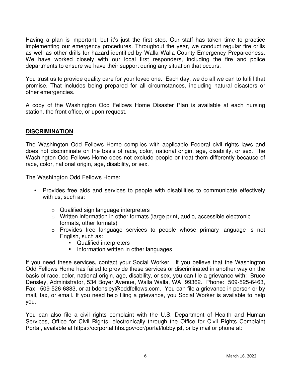Having a plan is important, but it's just the first step. Our staff has taken time to practice implementing our emergency procedures. Throughout the year, we conduct regular fire drills as well as other drills for hazard identified by Walla Walla County Emergency Preparedness. We have worked closely with our local first responders, including the fire and police departments to ensure we have their support during any situation that occurs.

You trust us to provide quality care for your loved one. Each day, we do all we can to fulfill that promise. That includes being prepared for all circumstances, including natural disasters or other emergencies.

A copy of the Washington Odd Fellows Home Disaster Plan is available at each nursing station, the front office, or upon request.

### **DISCRIMINATION**

The Washington Odd Fellows Home complies with applicable Federal civil rights laws and does not discriminate on the basis of race, color, national origin, age, disability, or sex. The Washington Odd Fellows Home does not exclude people or treat them differently because of race, color, national origin, age, disability, or sex.

The Washington Odd Fellows Home:

- Provides free aids and services to people with disabilities to communicate effectively with us, such as:
	- o Qualified sign language interpreters
	- o Written information in other formats (large print, audio, accessible electronic formats, other formats)
	- o Provides free language services to people whose primary language is not English, such as:
		- **•** Qualified interpreters
		- **Information written in other languages**

If you need these services, contact your Social Worker. If you believe that the Washington Odd Fellows Home has failed to provide these services or discriminated in another way on the basis of race, color, national origin, age, disability, or sex, you can file a grievance with: Bruce Densley, Administrator, 534 Boyer Avenue, Walla Walla, WA 99362. Phone: 509-525-6463, Fax: 509-526-6883, or at bdensley@oddfellows.com. You can file a grievance in person or by mail, fax, or email. If you need help filing a grievance, you Social Worker is available to help you.

You can also file a civil rights complaint with the U.S. Department of Health and Human Services, Office for Civil Rights, electronically through the Office for Civil Rights Complaint Portal, available at https://ocrportal.hhs.gov/ocr/portal/lobby.jsf, or by mail or phone at: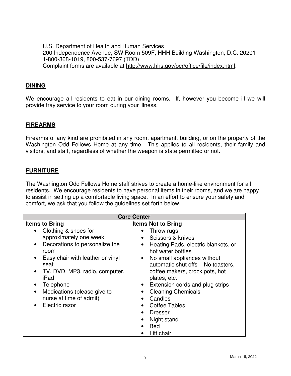U.S. Department of Health and Human Services 200 Independence Avenue, SW Room 509F, HHH Building Washington, D.C. 20201 1-800-368-1019, 800-537-7697 (TDD) Complaint forms are available at http://www.hhs.gov/ocr/office/file/index.html.

### **DINING**

We encourage all residents to eat in our dining rooms. If, however you become ill we will provide tray service to your room during your illness.

### **FIREARMS**

Firearms of any kind are prohibited in any room, apartment, building, or on the property of the Washington Odd Fellows Home at any time. This applies to all residents, their family and visitors, and staff, regardless of whether the weapon is state permitted or not.

### **FURNITURE**

The Washington Odd Fellows Home staff strives to create a home-like environment for all residents. We encourage residents to have personal items in their rooms, and we are happy to assist in setting up a comfortable living space. In an effort to ensure your safety and comfort, we ask that you follow the guidelines set forth below.

| <b>Care Center</b>                                                                                                                                                                                                                                                                                                          |                                                                                                                                                                                                                                                                                                                                                                       |
|-----------------------------------------------------------------------------------------------------------------------------------------------------------------------------------------------------------------------------------------------------------------------------------------------------------------------------|-----------------------------------------------------------------------------------------------------------------------------------------------------------------------------------------------------------------------------------------------------------------------------------------------------------------------------------------------------------------------|
| <b>Items to Bring</b>                                                                                                                                                                                                                                                                                                       | <b>Items Not to Bring</b>                                                                                                                                                                                                                                                                                                                                             |
| Clothing & shoes for<br>$\bullet$<br>approximately one week<br>Decorations to personalize the<br>$\bullet$<br>room<br>Easy chair with leather or vinyl<br>$\bullet$<br>seat<br>TV, DVD, MP3, radio, computer,<br>iPad<br>Telephone<br>Medications (please give to<br>$\bullet$<br>nurse at time of admit)<br>Electric razor | Throw rugs<br>Scissors & knives<br>Heating Pads, electric blankets, or<br>$\bullet$<br>hot water bottles<br>• No small appliances without<br>automatic shut offs - No toasters,<br>coffee makers, crock pots, hot<br>plates, etc.<br>Extension cords and plug strips<br><b>Cleaning Chemicals</b><br>Candles<br><b>Coffee Tables</b><br><b>Dresser</b><br>Night stand |
|                                                                                                                                                                                                                                                                                                                             | <b>Bed</b><br>Lift chair                                                                                                                                                                                                                                                                                                                                              |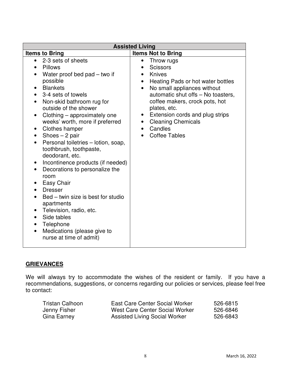| <b>Assisted Living</b>                                                                                                                                                                                                                                                                                                                                                                                                                                                                                                                                                                                                                                                                                                                                                                       |                                                                                                                                                                                                                                                                                                                                                            |  |
|----------------------------------------------------------------------------------------------------------------------------------------------------------------------------------------------------------------------------------------------------------------------------------------------------------------------------------------------------------------------------------------------------------------------------------------------------------------------------------------------------------------------------------------------------------------------------------------------------------------------------------------------------------------------------------------------------------------------------------------------------------------------------------------------|------------------------------------------------------------------------------------------------------------------------------------------------------------------------------------------------------------------------------------------------------------------------------------------------------------------------------------------------------------|--|
| <b>Items to Bring</b>                                                                                                                                                                                                                                                                                                                                                                                                                                                                                                                                                                                                                                                                                                                                                                        | <b>Items Not to Bring</b>                                                                                                                                                                                                                                                                                                                                  |  |
| 2-3 sets of sheets<br><b>Pillows</b><br>$\bullet$<br>Water proof bed pad – two if<br>possible<br><b>Blankets</b><br>3-4 sets of towels<br>Non-skid bathroom rug for<br>outside of the shower<br>Clothing – approximately one<br>$\bullet$<br>weeks' worth, more if preferred<br>Clothes hamper<br>$\bullet$<br>Shoes $-2$ pair<br>$\bullet$<br>Personal toiletries - lotion, soap,<br>$\bullet$<br>toothbrush, toothpaste,<br>deodorant, etc.<br>Incontinence products (if needed)<br>$\bullet$<br>Decorations to personalize the<br>$\bullet$<br>room<br><b>Easy Chair</b><br><b>Dresser</b><br>Bed - twin size is best for studio<br>apartments<br>Television, radio, etc.<br>Side tables<br>Telephone<br>$\bullet$<br>Medications (please give to<br>$\bullet$<br>nurse at time of admit) | Throw rugs<br>$\bullet$<br><b>Scissors</b><br>Knives<br>Heating Pads or hot water bottles<br>$\bullet$<br>No small appliances without<br>$\bullet$<br>automatic shut offs - No toasters,<br>coffee makers, crock pots, hot<br>plates, etc.<br>Extension cords and plug strips<br>$\bullet$<br><b>Cleaning Chemicals</b><br>Candles<br><b>Coffee Tables</b> |  |

# **GRIEVANCES**

We will always try to accommodate the wishes of the resident or family. If you have a recommendations, suggestions, or concerns regarding our policies or services, please feel free to contact:

| Tristan Calhoon | East Care Center Social Worker | 526-6815 |
|-----------------|--------------------------------|----------|
| Jenny Fisher    | West Care Center Social Worker | 526-6846 |
| Gina Earney     | Assisted Living Social Worker  | 526-6843 |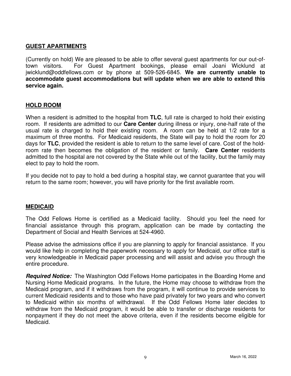### **GUEST APARTMENTS**

(Currently on hold) We are pleased to be able to offer several guest apartments for our out-oftown visitors. For Guest Apartment bookings, please email Joani Wicklund at jwicklund@oddfellows.com or by phone at 509-526-6845. **We are currently unable to accommodate guest accommodations but will update when we are able to extend this service again.** 

### **HOLD ROOM**

When a resident is admitted to the hospital from **TLC**, full rate is charged to hold their existing room. If residents are admitted to our **Care Center** during illness or injury, one-half rate of the usual rate is charged to hold their existing room. A room can be held at 1/2 rate for a maximum of three months. For Medicaid residents, the State will pay to hold the room for 20 days for **TLC**, provided the resident is able to return to the same level of care. Cost of the holdroom rate then becomes the obligation of the resident or family. **Care Center** residents admitted to the hospital are not covered by the State while out of the facility, but the family may elect to pay to hold the room.

If you decide not to pay to hold a bed during a hospital stay, we cannot guarantee that you will return to the same room; however, you will have priority for the first available room.

### **MEDICAID**

The Odd Fellows Home is certified as a Medicaid facility. Should you feel the need for financial assistance through this program, application can be made by contacting the Department of Social and Health Services at 524-4960.

Please advise the admissions office if you are planning to apply for financial assistance. If you would like help in completing the paperwork necessary to apply for Medicaid, our office staff is very knowledgeable in Medicaid paper processing and will assist and advise you through the entire procedure.

**Required Notice:** The Washington Odd Fellows Home participates in the Boarding Home and Nursing Home Medicaid programs. In the future, the Home may choose to withdraw from the Medicaid program, and if it withdraws from the program, it will continue to provide services to current Medicaid residents and to those who have paid privately for two years and who convert to Medicaid within six months of withdrawal. If the Odd Fellows Home later decides to withdraw from the Medicaid program, it would be able to transfer or discharge residents for nonpayment if they do not meet the above criteria, even if the residents become eligible for Medicaid.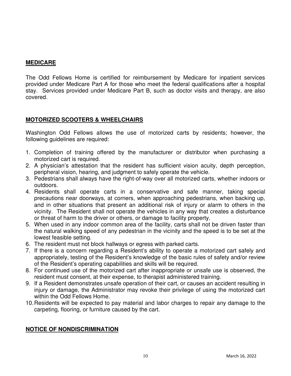# **MEDICARE**

The Odd Fellows Home is certified for reimbursement by Medicare for inpatient services provided under Medicare Part A for those who meet the federal qualifications after a hospital stay. Services provided under Medicare Part B, such as doctor visits and therapy, are also covered.

# **MOTORIZED SCOOTERS & WHEELCHAIRS**

Washington Odd Fellows allows the use of motorized carts by residents; however, the following guidelines are required:

- 1. Completion of training offered by the manufacturer or distributor when purchasing a motorized cart is required.
- 2. A physician's attestation that the resident has sufficient vision acuity, depth perception, peripheral vision, hearing, and judgment to safely operate the vehicle.
- 3. Pedestrians shall always have the right-of-way over all motorized carts, whether indoors or outdoors.
- 4. Residents shall operate carts in a conservative and safe manner, taking special precautions near doorways, at corners, when approaching pedestrians, when backing up, and in other situations that present an additional risk of injury or alarm to others in the vicinity. The Resident shall not operate the vehicles in any way that creates a disturbance or threat of harm to the driver or others, or damage to facility property.
- 5. When used in any indoor common area of the facility, carts shall not be driven faster than the natural walking speed of any pedestrian in the vicinity and the speed is to be set at the lowest feasible setting.
- 6. The resident must not block hallways or egress with parked carts.
- 7. If there is a concern regarding a Resident's ability to operate a motorized cart safely and appropriately, testing of the Resident's knowledge of the basic rules of safety and/or review of the Resident's operating capabilities and skills will be required.
- 8. For continued use of the motorized cart after inappropriate or unsafe use is observed, the resident must consent, at their expense, to therapist administered training.
- 9. If a Resident demonstrates unsafe operation of their cart, or causes an accident resulting in injury or damage, the Administrator may revoke their privilege of using the motorized cart within the Odd Fellows Home.
- 10. Residents will be expected to pay material and labor charges to repair any damage to the carpeting, flooring, or furniture caused by the cart.

### **NOTICE OF NONDISCRIMINATION**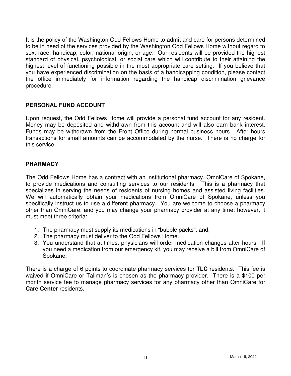It is the policy of the Washington Odd Fellows Home to admit and care for persons determined to be in need of the services provided by the Washington Odd Fellows Home without regard to sex, race, handicap, color, national origin, or age. Our residents will be provided the highest standard of physical, psychological, or social care which will contribute to their attaining the highest level of functioning possible in the most appropriate care setting. If you believe that you have experienced discrimination on the basis of a handicapping condition, please contact the office immediately for information regarding the handicap discrimination grievance procedure.

# **PERSONAL FUND ACCOUNT**

Upon request, the Odd Fellows Home will provide a personal fund account for any resident. Money may be deposited and withdrawn from this account and will also earn bank interest. Funds may be withdrawn from the Front Office during normal business hours. After hours transactions for small amounts can be accommodated by the nurse. There is no charge for this service.

### **PHARMACY**

The Odd Fellows Home has a contract with an institutional pharmacy, OmniCare of Spokane, to provide medications and consulting services to our residents. This is a pharmacy that specializes in serving the needs of residents of nursing homes and assisted living facilities. We will automatically obtain your medications from OmniCare of Spokane, unless you specifically instruct us to use a different pharmacy. You are welcome to choose a pharmacy other than OmniCare, and you may change your pharmacy provider at any time; however, it must meet three criteria:

- 1. The pharmacy must supply its medications in "bubble packs", and,
- 2. The pharmacy must deliver to the Odd Fellows Home.
- 3. You understand that at times, physicians will order medication changes after hours. If you need a medication from our emergency kit, you may receive a bill from OmniCare of Spokane.

There is a charge of 6 points to coordinate pharmacy services for **TLC** residents. This fee is waived if OmniCare or Tallman's is chosen as the pharmacy provider. There is a \$100 per month service fee to manage pharmacy services for any pharmacy other than OmniCare for **Care Center** residents.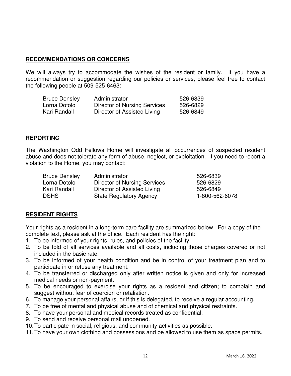### **RECOMMENDATIONS OR CONCERNS**

We will always try to accommodate the wishes of the resident or family. If you have a recommendation or suggestion regarding our policies or services, please feel free to contact the following people at 509-525-6463:

| <b>Bruce Densley</b> | Administrator                       | 526-6839 |
|----------------------|-------------------------------------|----------|
| Lorna Dotolo         | <b>Director of Nursing Services</b> | 526-6829 |
| Kari Randall         | Director of Assisted Living         | 526-6849 |

### **REPORTING**

The Washington Odd Fellows Home will investigate all occurrences of suspected resident abuse and does not tolerate any form of abuse, neglect, or exploitation. If you need to report a violation to the Home, you may contact:

| <b>Bruce Densley</b> | Administrator                  | 526-6839       |
|----------------------|--------------------------------|----------------|
| Lorna Dotolo         | Director of Nursing Services   | 526-6829       |
| Kari Randall         | Director of Assisted Living    | 526-6849       |
| <b>DSHS</b>          | <b>State Regulatory Agency</b> | 1-800-562-6078 |

# **RESIDENT RIGHTS**

Your rights as a resident in a long-term care facility are summarized below. For a copy of the complete text, please ask at the office. Each resident has the right:

- 1. To be informed of your rights, rules, and policies of the facility.
- 2. To be told of all services available and all costs, including those charges covered or not included in the basic rate.
- 3. To be informed of your health condition and be in control of your treatment plan and to participate in or refuse any treatment.
- 4. To be transferred or discharged only after written notice is given and only for increased medical needs or non-payment.
- 5. To be encouraged to exercise your rights as a resident and citizen; to complain and suggest without fear of coercion or retaliation.
- 6. To manage your personal affairs, or if this is delegated, to receive a regular accounting.
- 7. To be free of mental and physical abuse and of chemical and physical restraints.
- 8. To have your personal and medical records treated as confidential.
- 9. To send and receive personal mail unopened.
- 10. To participate in social, religious, and community activities as possible.
- 11. To have your own clothing and possessions and be allowed to use them as space permits.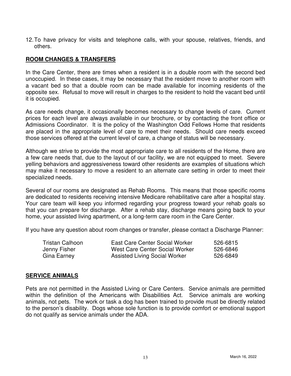12. To have privacy for visits and telephone calls, with your spouse, relatives, friends, and others.

### **ROOM CHANGES & TRANSFERS**

In the Care Center, there are times when a resident is in a double room with the second bed unoccupied. In these cases, it may be necessary that the resident move to another room with a vacant bed so that a double room can be made available for incoming residents of the opposite sex. Refusal to move will result in charges to the resident to hold the vacant bed until it is occupied.

As care needs change, it occasionally becomes necessary to change levels of care. Current prices for each level are always available in our brochure, or by contacting the front office or Admissions Coordinator. It is the policy of the Washington Odd Fellows Home that residents are placed in the appropriate level of care to meet their needs. Should care needs exceed those services offered at the current level of care, a change of status will be necessary.

Although we strive to provide the most appropriate care to all residents of the Home, there are a few care needs that, due to the layout of our facility, we are not equipped to meet. Severe yelling behaviors and aggressiveness toward other residents are examples of situations which may make it necessary to move a resident to an alternate care setting in order to meet their specialized needs.

Several of our rooms are designated as Rehab Rooms. This means that those specific rooms are dedicated to residents receiving intensive Medicare rehabilitative care after a hospital stay. Your care team will keep you informed regarding your progress toward your rehab goals so that you can prepare for discharge. After a rehab stay, discharge means going back to your home, your assisted living apartment, or a long-term care room in the Care Center.

If you have any question about room changes or transfer, please contact a Discharge Planner:

| Tristan Calhoon | East Care Center Social Worker | 526-6815 |
|-----------------|--------------------------------|----------|
| Jenny Fisher    | West Care Center Social Worker | 526-6846 |
| Gina Earney     | Assisted Living Social Worker  | 526-6849 |

#### **SERVICE ANIMALS**

Pets are not permitted in the Assisted Living or Care Centers. Service animals are permitted within the definition of the Americans with Disabilities Act. Service animals are working animals, not pets. The work or task a dog has been trained to provide must be directly related to the person's disability. Dogs whose sole function is to provide comfort or emotional support do not qualify as service animals under the ADA.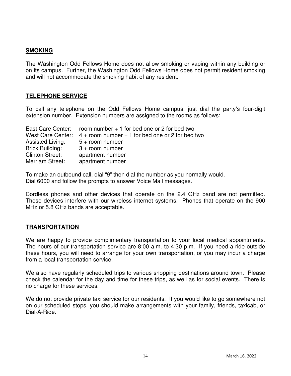### **SMOKING**

The Washington Odd Fellows Home does not allow smoking or vaping within any building or on its campus. Further, the Washington Odd Fellows Home does not permit resident smoking and will not accommodate the smoking habit of any resident.

### **TELEPHONE SERVICE**

To call any telephone on the Odd Fellows Home campus, just dial the party's four-digit extension number. Extension numbers are assigned to the rooms as follows:

|                        | East Care Center: room number $+1$ for bed one or 2 for bed two        |
|------------------------|------------------------------------------------------------------------|
|                        | West Care Center: $4 +$ room number $+ 1$ for bed one or 2 for bed two |
| Assisted Living:       | $5 +$ room number                                                      |
| <b>Brick Building:</b> | $3 +$ room number                                                      |
| Clinton Street:        | apartment number                                                       |
| Merriam Street:        | apartment number                                                       |

To make an outbound call, dial "9" then dial the number as you normally would. Dial 6000 and follow the prompts to answer Voice Mail messages.

Cordless phones and other devices that operate on the 2.4 GHz band are not permitted. These devices interfere with our wireless internet systems. Phones that operate on the 900 MHz or 5.8 GHz bands are acceptable.

# **TRANSPORTATION**

We are happy to provide complimentary transportation to your local medical appointments. The hours of our transportation service are 8:00 a.m. to 4:30 p.m. If you need a ride outside these hours, you will need to arrange for your own transportation, or you may incur a charge from a local transportation service.

We also have regularly scheduled trips to various shopping destinations around town. Please check the calendar for the day and time for these trips, as well as for social events. There is no charge for these services.

We do not provide private taxi service for our residents. If you would like to go somewhere not on our scheduled stops, you should make arrangements with your family, friends, taxicab, or Dial-A-Ride.